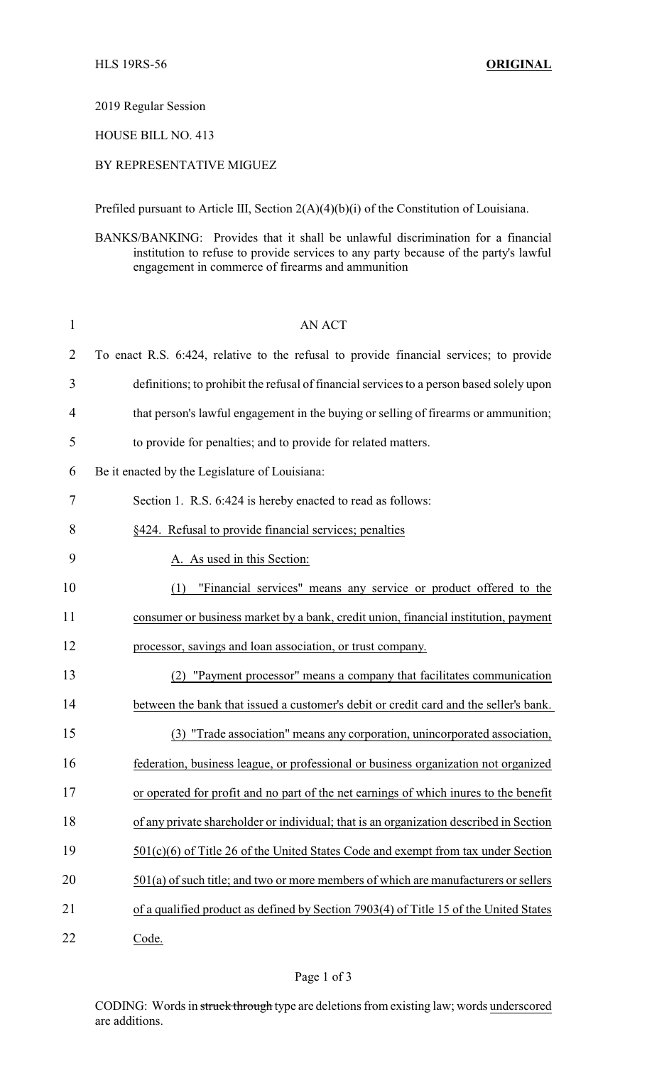2019 Regular Session

HOUSE BILL NO. 413

## BY REPRESENTATIVE MIGUEZ

Prefiled pursuant to Article III, Section 2(A)(4)(b)(i) of the Constitution of Louisiana.

BANKS/BANKING: Provides that it shall be unlawful discrimination for a financial institution to refuse to provide services to any party because of the party's lawful engagement in commerce of firearms and ammunition

| $\mathbf{1}$   | <b>AN ACT</b>                                                                            |
|----------------|------------------------------------------------------------------------------------------|
| $\overline{2}$ | To enact R.S. 6:424, relative to the refusal to provide financial services; to provide   |
| 3              | definitions; to prohibit the refusal of financial services to a person based solely upon |
| 4              | that person's lawful engagement in the buying or selling of firearms or ammunition;      |
| 5              | to provide for penalties; and to provide for related matters.                            |
| 6              | Be it enacted by the Legislature of Louisiana:                                           |
| 7              | Section 1. R.S. 6:424 is hereby enacted to read as follows:                              |
| 8              | §424. Refusal to provide financial services; penalties                                   |
| 9              | A. As used in this Section:                                                              |
| 10             | "Financial services" means any service or product offered to the<br>(1)                  |
| 11             | consumer or business market by a bank, credit union, financial institution, payment      |
| 12             | processor, savings and loan association, or trust company.                               |
| 13             | "Payment processor" means a company that facilitates communication                       |
| 14             | between the bank that issued a customer's debit or credit card and the seller's bank.    |
| 15             | (3) "Trade association" means any corporation, unincorporated association,               |
| 16             | federation, business league, or professional or business organization not organized      |
| 17             | or operated for profit and no part of the net earnings of which interes to the benefit   |
| 18             | of any private shareholder or individual; that is an organization described in Section   |
| 19             | $501(c)(6)$ of Title 26 of the United States Code and exempt from tax under Section      |
| 20             | $501(a)$ of such title; and two or more members of which are manufacturers or sellers    |
| 21             | of a qualified product as defined by Section 7903(4) of Title 15 of the United States    |
| 22             | Code.                                                                                    |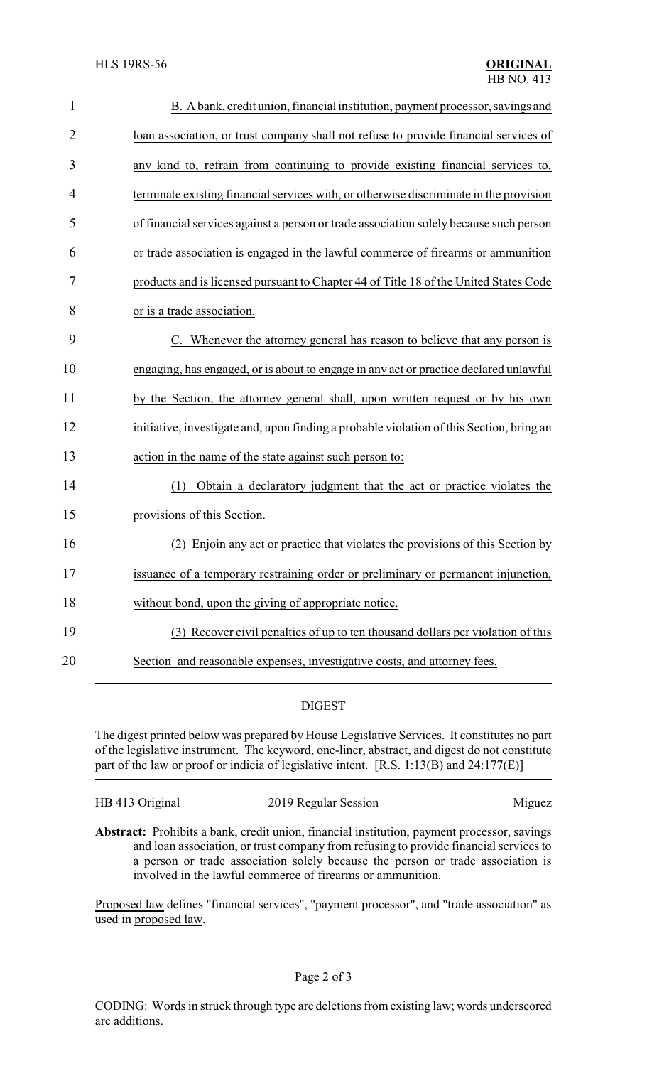| $\mathbf{1}$   | B. A bank, credit union, financial institution, payment processor, savings and           |
|----------------|------------------------------------------------------------------------------------------|
| $\overline{2}$ | loan association, or trust company shall not refuse to provide financial services of     |
| 3              | any kind to, refrain from continuing to provide existing financial services to,          |
| 4              | terminate existing financial services with, or otherwise discriminate in the provision   |
| 5              | of financial services against a person or trade association solely because such person   |
| 6              | or trade association is engaged in the lawful commerce of firearms or ammunition         |
| 7              | products and is licensed pursuant to Chapter 44 of Title 18 of the United States Code    |
| 8              | or is a trade association.                                                               |
| 9              | C. Whenever the attorney general has reason to believe that any person is                |
| 10             | engaging, has engaged, or is about to engage in any act or practice declared unlawful    |
| 11             | by the Section, the attorney general shall, upon written request or by his own           |
| 12             | initiative, investigate and, upon finding a probable violation of this Section, bring an |
| 13             | action in the name of the state against such person to:                                  |
| 14             | Obtain a declaratory judgment that the act or practice violates the<br>(1)               |
| 15             | provisions of this Section.                                                              |
| 16             | Enjoin any act or practice that violates the provisions of this Section by               |
| 17             | issuance of a temporary restraining order or preliminary or permanent injunction,        |
| 18             | without bond, upon the giving of appropriate notice.                                     |
| 19             | (3) Recover civil penalties of up to ten thousand dollars per violation of this          |
| 20             | Section and reasonable expenses, investigative costs, and attorney fees.                 |

## DIGEST

The digest printed below was prepared by House Legislative Services. It constitutes no part of the legislative instrument. The keyword, one-liner, abstract, and digest do not constitute part of the law or proof or indicia of legislative intent. [R.S. 1:13(B) and 24:177(E)]

HB 413 Original 2019 Regular Session Miguez

**Abstract:** Prohibits a bank, credit union, financial institution, payment processor, savings and loan association, or trust company from refusing to provide financial services to a person or trade association solely because the person or trade association is involved in the lawful commerce of firearms or ammunition.

Proposed law defines "financial services", "payment processor", and "trade association" as used in proposed law.